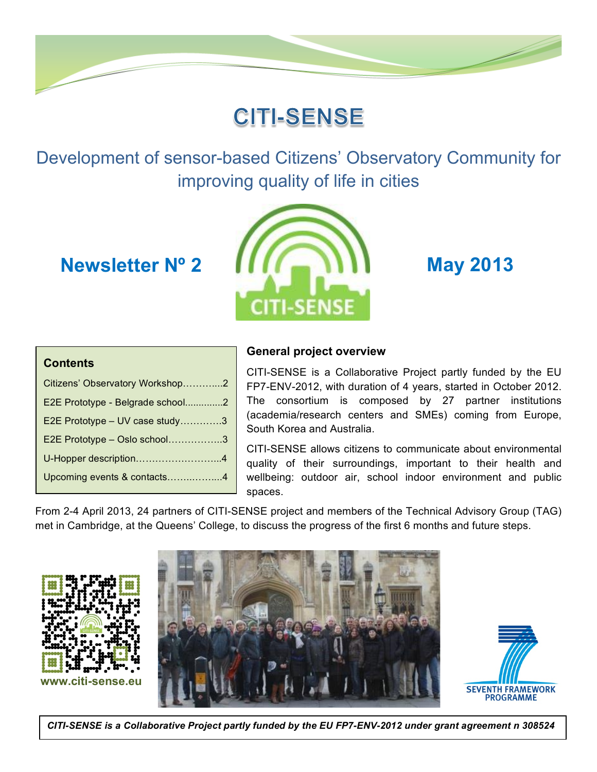# **CITI-SENSE**

Development of sensor-based Citizens' Observatory Community for improving quality of life in cities



### **Contents**

| Citizens' Observatory Workshop2  |  |
|----------------------------------|--|
| E2E Prototype - Belgrade school2 |  |
| E2E Prototype - UV case study3   |  |
| E2E Prototype - Oslo school3     |  |
| U-Hopper description4            |  |
| Upcoming events & contacts4      |  |
|                                  |  |

# **General project overview**

CITI-SENSE is a Collaborative Project partly funded by the EU FP7-ENV-2012, with duration of 4 years, started in October 2012. The consortium is composed by 27 partner institutions (academia/research centers and SMEs) coming from Europe, South Korea and Australia.

CITI-SENSE allows citizens to communicate about environmental quality of their surroundings, important to their health and wellbeing: outdoor air, school indoor environment and public spaces.

From 2-4 April 2013, 24 partners of CITI-SENSE project and members of the Technical Advisory Group (TAG) met in Cambridge, at the Queens' College, to discuss the progress of the first 6 months and future steps.







<sup>1</sup> *CITI-SENSE is a Collaborative Project partly funded by the EU FP7-ENV-2012 under grant agreement n 308524*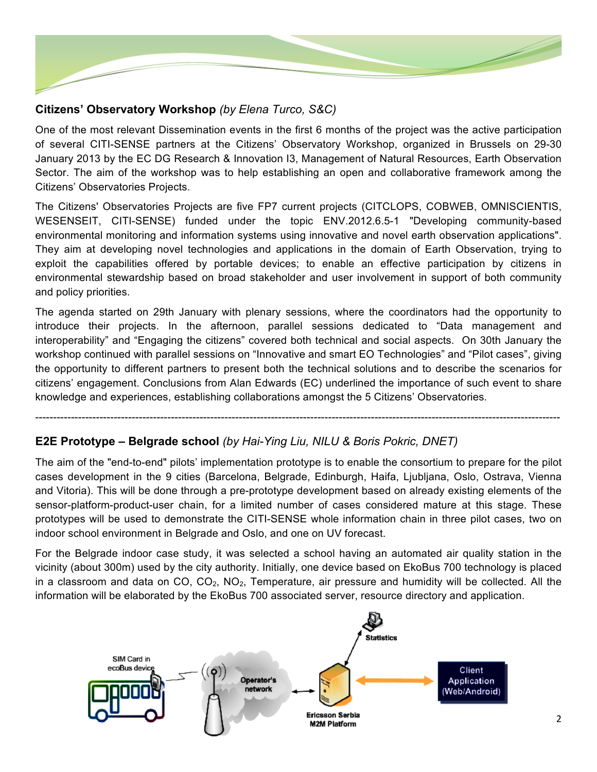

# **Citizens' Observatory Workshop** *(by Elena Turco, S&C)*

One of the most relevant Dissemination events in the first 6 months of the project was the active participation of several CITI-SENSE partners at the Citizens' Observatory Workshop, organized in Brussels on 29-30 January 2013 by the EC DG Research & Innovation I3, Management of Natural Resources, Earth Observation Sector. The aim of the workshop was to help establishing an open and collaborative framework among the Citizens' Observatories Projects.

The Citizens' Observatories Projects are five FP7 current projects (CITCLOPS, COBWEB, OMNISCIENTIS, WESENSEIT, CITI-SENSE) funded under the topic ENV.2012.6.5-1 "Developing community-based environmental monitoring and information systems using innovative and novel earth observation applications". They aim at developing novel technologies and applications in the domain of Earth Observation, trying to exploit the capabilities offered by portable devices; to enable an effective participation by citizens in environmental stewardship based on broad stakeholder and user involvement in support of both community and policy priorities.

The agenda started on 29th January with plenary sessions, where the coordinators had the opportunity to introduce their projects. In the afternoon, parallel sessions dedicated to "Data management and interoperability" and "Engaging the citizens" covered both technical and social aspects. On 30th January the workshop continued with parallel sessions on "Innovative and smart EO Technologies" and "Pilot cases", giving the opportunity to different partners to present both the technical solutions and to describe the scenarios for citizens' engagement. Conclusions from Alan Edwards (EC) underlined the importance of such event to share knowledge and experiences, establishing collaborations amongst the 5 Citizens' Observatories.

#### ---------------------------------------------------------------------------------------------------------------------------------------------------

### **E2E Prototype – Belgrade school** *(by Hai-Ying Liu, NILU & Boris Pokric, DNET)*

The aim of the "end-to-end" pilots' implementation prototype is to enable the consortium to prepare for the pilot cases development in the 9 cities (Barcelona, Belgrade, Edinburgh, Haifa, Ljubljana, Oslo, Ostrava, Vienna and Vitoria). This will be done through a pre-prototype development based on already existing elements of the sensor-platform-product-user chain, for a limited number of cases considered mature at this stage. These prototypes will be used to demonstrate the CITI-SENSE whole information chain in three pilot cases, two on indoor school environment in Belgrade and Oslo, and one on UV forecast.

For the Belgrade indoor case study, it was selected a school having an automated air quality station in the vicinity (about 300m) used by the city authority. Initially, one device based on EkoBus 700 technology is placed in a classroom and data on  $CO$ ,  $CO<sub>2</sub>$ , NO<sub>2</sub>, Temperature, air pressure and humidity will be collected. All the information will be elaborated by the EkoBus 700 associated server, resource directory and application.

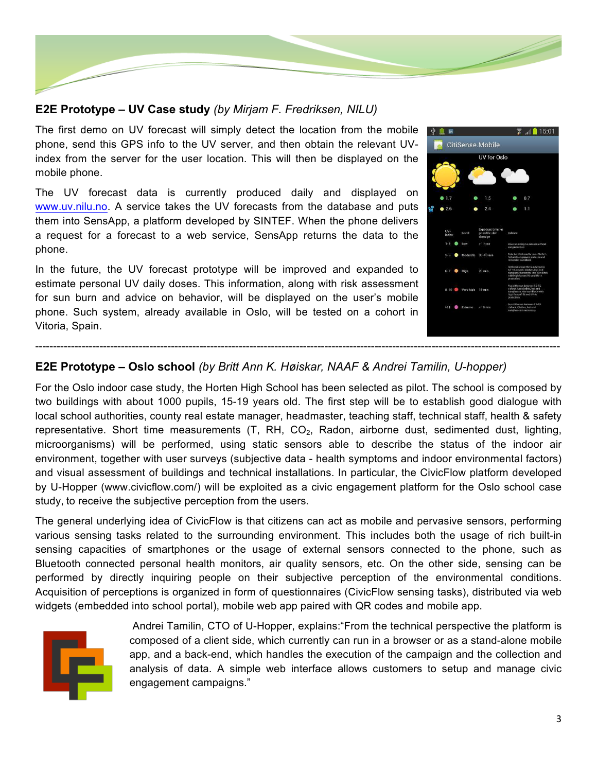

# **E2E Prototype – UV Case study** *(by Mirjam F. Fredriksen, NILU)*

The first demo on UV forecast will simply detect the location from the mobile phone, send this GPS info to the UV server, and then obtain the relevant UVindex from the server for the user location. This will then be displayed on the mobile phone.

The UV forecast data is currently produced daily and displayed on www.uv.nilu.no. A service takes the UV forecasts from the database and puts them into SensApp, a platform developed by SINTEF. When the phone delivers a request for a forecast to a web service, SensApp returns the data to the phone.

In the future, the UV forecast prototype will be improved and expanded to estimate personal UV daily doses. This information, along with risk assessment for sun burn and advice on behavior, will be displayed on the user's mobile phone. Such system, already available in Oslo, will be tested on a cohort in Vitoria, Spain.



## **E2E Prototype – Oslo school** *(by Britt Ann K. Høiskar, NAAF & Andrei Tamilin, U-hopper)*

For the Oslo indoor case study, the Horten High School has been selected as pilot. The school is composed by two buildings with about 1000 pupils, 15-19 years old. The first step will be to establish good dialogue with local school authorities, county real estate manager, headmaster, teaching staff, technical staff, health & safety representative. Short time measurements  $(T, RH, CO<sub>2</sub>, Radon, airborne dust, sedimented dust, lighting,$ microorganisms) will be performed, using static sensors able to describe the status of the indoor air environment, together with user surveys (subjective data - health symptoms and indoor environmental factors) and visual assessment of buildings and technical installations. In particular, the CivicFlow platform developed by U-Hopper (www.civicflow.com/) will be exploited as a civic engagement platform for the Oslo school case study, to receive the subjective perception from the users.

The general underlying idea of CivicFlow is that citizens can act as mobile and pervasive sensors, performing various sensing tasks related to the surrounding environment. This includes both the usage of rich built-in sensing capacities of smartphones or the usage of external sensors connected to the phone, such as Bluetooth connected personal health monitors, air quality sensors, etc. On the other side, sensing can be performed by directly inquiring people on their subjective perception of the environmental conditions. Acquisition of perceptions is organized in form of questionnaires (CivicFlow sensing tasks), distributed via web widgets (embedded into school portal), mobile web app paired with QR codes and mobile app.



Andrei Tamilin, CTO of U-Hopper, explains:"From the technical perspective the platform is composed of a client side, which currently can run in a browser or as a stand-alone mobile app, and a back-end, which handles the execution of the campaign and the collection and analysis of data. A simple web interface allows customers to setup and manage civic engagement campaigns."